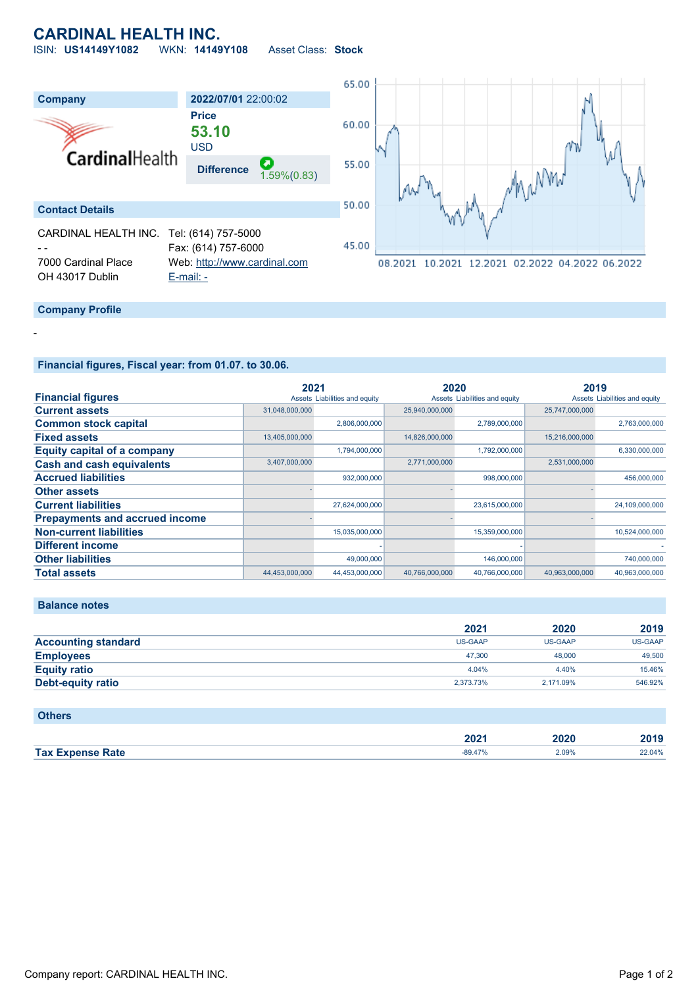# **CARDINAL HEALTH INC.**

ISIN: **US14149Y1082** WKN: **14149Y108** Asset Class: **Stock**



### **Company Profile**

-

**Financial figures, Fiscal year: from 01.07. to 30.06.**

|                                       | 2021           |                               | 2020           |                               | 2019           |                               |
|---------------------------------------|----------------|-------------------------------|----------------|-------------------------------|----------------|-------------------------------|
| <b>Financial figures</b>              |                | Assets Liabilities and equity |                | Assets Liabilities and equity |                | Assets Liabilities and equity |
| <b>Current assets</b>                 | 31,048,000,000 |                               | 25,940,000,000 |                               | 25,747,000,000 |                               |
| <b>Common stock capital</b>           |                | 2,806,000,000                 |                | 2,789,000,000                 |                | 2,763,000,000                 |
| <b>Fixed assets</b>                   | 13,405,000,000 |                               | 14,826,000,000 |                               | 15,216,000,000 |                               |
| <b>Equity capital of a company</b>    |                | 1,794,000,000                 |                | 1,792,000,000                 |                | 6,330,000,000                 |
| <b>Cash and cash equivalents</b>      | 3,407,000,000  |                               | 2,771,000,000  |                               | 2,531,000,000  |                               |
| <b>Accrued liabilities</b>            |                | 932,000,000                   |                | 998,000,000                   |                | 456,000,000                   |
| <b>Other assets</b>                   |                |                               |                |                               |                |                               |
| <b>Current liabilities</b>            |                | 27,624,000,000                |                | 23,615,000,000                |                | 24,109,000,000                |
| <b>Prepayments and accrued income</b> |                |                               |                |                               |                |                               |
| <b>Non-current liabilities</b>        |                | 15,035,000,000                |                | 15,359,000,000                |                | 10,524,000,000                |
| <b>Different income</b>               |                |                               |                |                               |                |                               |
| <b>Other liabilities</b>              |                | 49,000,000                    |                | 146,000,000                   |                | 740,000,000                   |
| <b>Total assets</b>                   | 44,453,000,000 | 44,453,000,000                | 40.766.000.000 | 40,766,000,000                | 40.963.000.000 | 40.963.000.000                |

#### **Balance notes**

|                            | 2021           | 2020           | 2019           |
|----------------------------|----------------|----------------|----------------|
| <b>Accounting standard</b> | <b>US-GAAP</b> | <b>US-GAAP</b> | <b>US-GAAP</b> |
| <b>Employees</b>           | 47.300         | 48,000         | 49,500         |
| <b>Equity ratio</b>        | 4.04%          | 4.40%          | 15.46%         |
| Debt-equity ratio          | 2.373.73%      | 2.171.09%      | 546.92%        |

| <b>Others</b>           |           |       |        |
|-------------------------|-----------|-------|--------|
|                         | 2021      | 2020  | 2019   |
| <b>Tax Expense Rate</b> | $-89.47%$ | 2.09% | 22.04% |